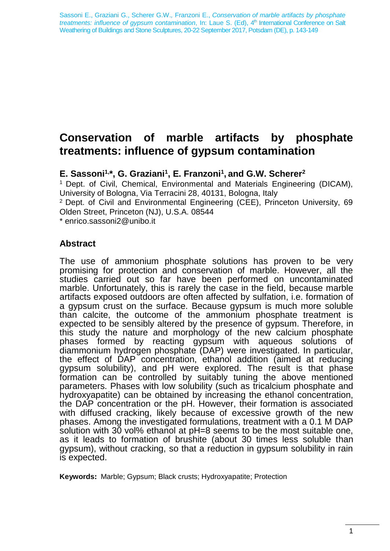# **Conservation of marble artifacts by phosphate treatments: influence of gypsum contamination**

**E. Sassoni1, \*, G. Graziani<sup>1</sup> , E. Franzoni<sup>1</sup> , and G.W. Scherer<sup>2</sup>**

<sup>1</sup> Dept. of Civil, Chemical, Environmental and Materials Engineering (DICAM), University of Bologna, Via Terracini 28, 40131, Bologna, Italy <sup>2</sup> Dept. of Civil and Environmental Engineering (CEE), Princeton University, 69 Olden Street, Princeton (NJ), U.S.A. 08544 \* enrico.sassoni2@unibo.it

### **Abstract**

The use of ammonium phosphate solutions has proven to be very promising for protection and conservation of marble. However, all the studies carried out so far have been performed on uncontaminated marble. Unfortunately, this is rarely the case in the field, because marble artifacts exposed outdoors are often affected by sulfation, i.e. formation of a gypsum crust on the surface. Because gypsum is much more soluble than calcite, the outcome of the ammonium phosphate treatment is expected to be sensibly altered by the presence of gypsum. Therefore, in this study the nature and morphology of the new calcium phosphate phases formed by reacting gypsum with aqueous solutions of diammonium hydrogen phosphate (DAP) were investigated. In particular, the effect of DAP concentration, ethanol addition (aimed at reducing gypsum solubility), and pH were explored. The result is that phase formation can be controlled by suitably tuning the above mentioned parameters. Phases with low solubility (such as tricalcium phosphate and hydroxyapatite) can be obtained by increasing the ethanol concentration, the DAP concentration or the pH. However, their formation is associated with diffused cracking, likely because of excessive growth of the new phases. Among the investigated formulations, treatment with a 0.1 M DAP solution with  $30$  vol% ethanol at  $pH=8$  seems to be the most suitable one. as it leads to formation of brushite (about 30 times less soluble than gypsum), without cracking, so that a reduction in gypsum solubility in rain is expected.

**Keywords:** Marble; Gypsum; Black crusts; Hydroxyapatite; Protection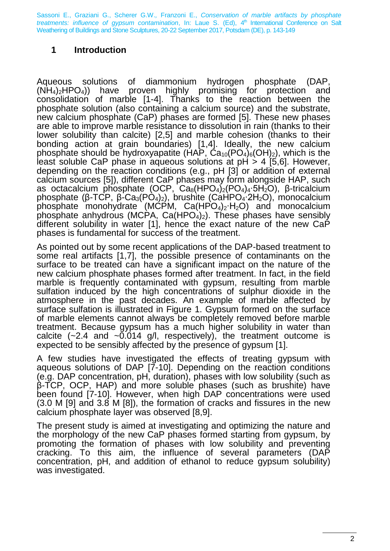#### **1 Introduction**

Aqueous solutions of diammonium hydrogen phosphate (DAP,  $(NH_4)_{2}HPO_4$ ) have proven highly promising for protection and consolidation of marble [1-4]. Thanks to the reaction between the phosphate solution (also containing a calcium source) and the substrate, new calcium phosphate (CaP) phases are formed [5]. These new phases are able to improve marble resistance to dissolution in rain (thanks to their lower solubility than calcite) [2,5] and marble cohesion (thanks to their bonding action at grain boundaries) [1,4]. Ideally, the new calcium phosphate should be hydroxyapatite (HAP,  $\hat{C}a_{10}(PO_4)_6(OH)_2$ ), which is the least soluble CaP phase in aqueous solutions at  $pH > 4$  [5,6]. However, depending on the reaction conditions (e.g., pH [3] or addition of external calcium sources [5]), different CaP phases may form alongside HAP, such as octacalcium phosphate (OCP, Ca<sub>8</sub>(HPO<sub>4</sub>)<sub>2</sub>(PO<sub>4</sub>)<sub>4</sub>⋅5H<sub>2</sub>O), β-tricalcium phosphate (β-TCP, β-Ca3(PO4)2), brushite (CaHPO4∙2H2O), monocalcium phosphate monohydrate (MCPM, Ca(HPO4)2∙H2O) and monocalcium phosphate anhydrous (MCPA,  $Ca(HPO<sub>4</sub>)<sub>2</sub>$ ). These phases have sensibly different solubility in water [1], hence the exact nature of the new CaP phases is fundamental for success of the treatment.

As pointed out by some recent applications of the DAP-based treatment to some real artifacts [1,7], the possible presence of contaminants on the surface to be treated can have a significant impact on the nature of the new calcium phosphate phases formed after treatment. In fact, in the field marble is frequently contaminated with gypsum, resulting from marble sulfation induced by the high concentrations of sulphur dioxide in the atmosphere in the past decades. An example of marble affected by surface sulfation is illustrated in Figure 1. Gypsum formed on the surface of marble elements cannot always be completely removed before marble treatment. Because gypsum has a much higher solubility in water than calcite  $(-2.4 \text{ and } -0.014 \text{ g/l})$ , respectively), the treatment outcome is expected to be sensibly affected by the presence of gypsum [1].

A few studies have investigated the effects of treating gypsum with aqueous solutions of DAP [7-10]. Depending on the reaction conditions (e.g. DAP concentration, pH, duration), phases with low solubility (such as β-TCP, OCP, HAP) and more soluble phases (such as brushite) have been found [7-10]. However, when high DAP concentrations were used (3.0 M [9] and 3.8 M [8]), the formation of cracks and fissures in the new calcium phosphate layer was observed [8,9].

The present study is aimed at investigating and optimizing the nature and the morphology of the new CaP phases formed starting from gypsum, by promoting the formation of phases with low solubility and preventing cracking. To this aim, the influence of several parameters (DAP concentration, pH, and addition of ethanol to reduce gypsum solubility) was investigated.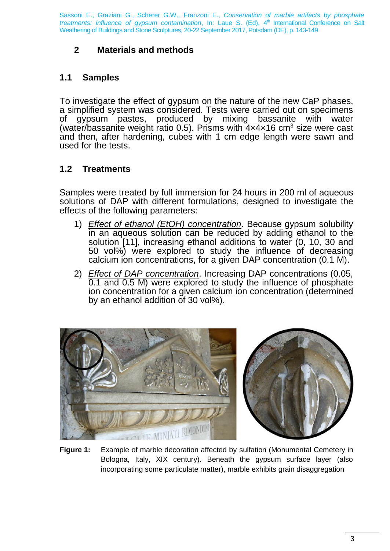### **2 Materials and methods**

# **1.1 Samples**

To investigate the effect of gypsum on the nature of the new CaP phases, a simplified system was considered. Tests were carried out on specimens of gypsum pastes, produced by mixing bassanite with water (water/bassanite weight ratio 0.5). Prisms with  $4 \times 4 \times 16$  cm<sup>3</sup> size were cast and then, after hardening, cubes with 1 cm edge length were sawn and used for the tests.

# **1.2 Treatments**

Samples were treated by full immersion for 24 hours in 200 ml of aqueous solutions of DAP with different formulations, designed to investigate the effects of the following parameters:

- 1) *Effect of ethanol (EtOH) concentration*. Because gypsum solubility in an aqueous solution can be reduced by adding ethanol to the solution [11], increasing ethanol additions to water (0, 10, 30 and 50 vol%) were explored to study the influence of decreasing calcium ion concentrations, for a given DAP concentration (0.1 M).
- 2) *Effect of DAP concentration*. Increasing DAP concentrations (0.05, 0.1 and 0.5 M) were explored to study the influence of phosphate ion concentration for a given calcium ion concentration (determined by an ethanol addition of 30 vol%).



**Figure 1:** Example of marble decoration affected by sulfation (Monumental Cemetery in Bologna, Italy, XIX century). Beneath the gypsum surface layer (also incorporating some particulate matter), marble exhibits grain disaggregation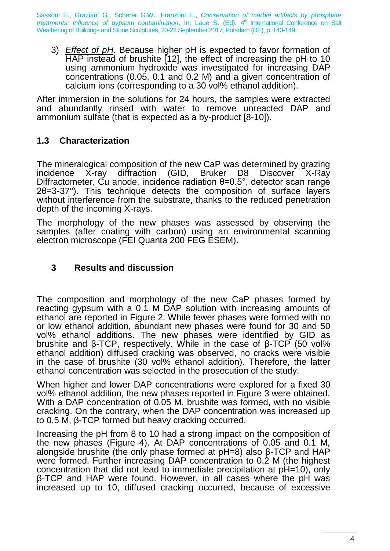3) *Effect of pH*. Because higher pH is expected to favor formation of HAP instead of brushite [12], the effect of increasing the pH to 10 using ammonium hydroxide was investigated for increasing DAP concentrations (0.05, 0.1 and 0.2 M) and a given concentration of calcium ions (corresponding to a 30 vol% ethanol addition).

After immersion in the solutions for 24 hours, the samples were extracted and abundantly rinsed with water to remove unreacted DAP and ammonium sulfate (that is expected as a by-product [8-10]).

### **1.3 Characterization**

The mineralogical composition of the new CaP was determined by grazing<br>incidence X-ray diffraction (GID, Bruker D8 Discover X-Ray Discover X-Ray [Diffractometer,](https://www.princeton.edu/~iac/equipment.shtml#bruker) Cu anode, incidence radiation θ=0.5°, detector scan range 2θ=3-37°). This technique detects the composition of surface layers without interference from the substrate, thanks to the reduced penetration depth of the incoming X-rays.

The morphology of the new phases was assessed by observing the samples (after coating with carbon) using an environmental scanning electron microscope (FEI Quanta 200 FEG ESEM).

#### **3 Results and discussion**

The composition and morphology of the new CaP phases formed by reacting gypsum with a 0.1 M DAP solution with increasing amounts of ethanol are reported in Figure 2. While fewer phases were formed with no or low ethanol addition, abundant new phases were found for 30 and 50 vol% ethanol additions. The new phases were identified by GID as brushite and β-TCP, respectively. While in the case of β-TCP (50 vol% ethanol addition) diffused cracking was observed, no cracks were visible in the case of brushite (30 vol% ethanol addition). Therefore, the latter ethanol concentration was selected in the prosecution of the study.

When higher and lower DAP concentrations were explored for a fixed 30 vol% ethanol addition, the new phases reported in Figure 3 were obtained. With a DAP concentration of 0.05 M, brushite was formed, with no visible cracking. On the contrary, when the DAP concentration was increased up to 0.5 M, β-TCP formed but heavy cracking occurred.

Increasing the pH from 8 to 10 had a strong impact on the composition of the new phases (Figure 4). At DAP concentrations of 0.05 and 0.1 M, alongside brushite (the only phase formed at pH=8) also β-TCP and HAP were formed. Further increasing DAP concentration to 0.2 M (the highest concentration that did not lead to immediate precipitation at pH=10), only β-TCP and HAP were found. However, in all cases where the pH was increased up to 10, diffused cracking occurred, because of excessive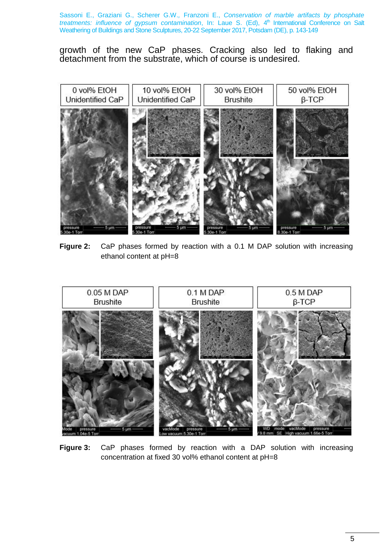growth of the new CaP phases. Cracking also led to flaking and detachment from the substrate, which of course is undesired.



**Figure 2:** CaP phases formed by reaction with a 0.1 M DAP solution with increasing ethanol content at pH=8



**Figure 3:** CaP phases formed by reaction with a DAP solution with increasing concentration at fixed 30 vol% ethanol content at pH=8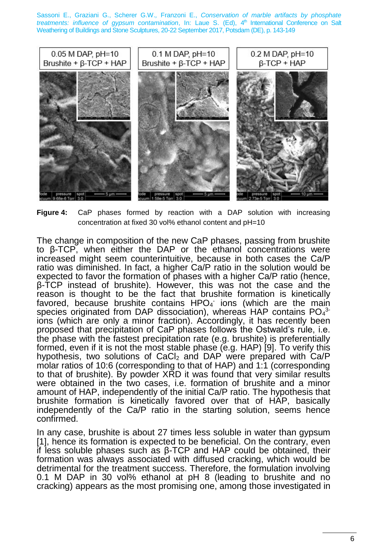

**Figure 4:** CaP phases formed by reaction with a DAP solution with increasing concentration at fixed 30 vol% ethanol content and pH=10

The change in composition of the new CaP phases, passing from brushite to β-TCP, when either the DAP or the ethanol concentrations were increased might seem counterintuitive, because in both cases the Ca/P ratio was diminished. In fact, a higher Ca/P ratio in the solution would be expected to favor the formation of phases with a higher Ca/P ratio (hence, β-TCP instead of brushite). However, this was not the case and the reason is thought to be the fact that brushite formation is kinetically favored, because brushite contains  $HPO<sub>4</sub>$  ions (which are the main species originated from DAP dissociation), whereas HAP contains PO<sub>4</sub><sup>3-</sup> ions (which are only a minor fraction). Accordingly, it has recently been proposed that precipitation of CaP phases follows the Ostwald's rule, i.e. the phase with the fastest precipitation rate (e.g. brushite) is preferentially formed, even if it is not the most stable phase (e.g. HAP) [9]. To verify this hypothesis, two solutions of CaCl<sub>2</sub> and DAP were prepared with Ca/P molar ratios of 10:6 (corresponding to that of HAP) and 1:1 (corresponding to that of brushite). By powder XRD it was found that very similar results were obtained in the two cases, i.e. formation of brushite and a minor amount of HAP, independently of the initial Ca/P ratio. The hypothesis that brushite formation is kinetically favored over that of HAP, basically independently of the Ca/P ratio in the starting solution, seems hence confirmed.

In any case, brushite is about 27 times less soluble in water than gypsum [1], hence its formation is expected to be beneficial. On the contrary, even if less soluble phases such as β-TCP and HAP could be obtained, their formation was always associated with diffused cracking, which would be detrimental for the treatment success. Therefore, the formulation involving 0.1 M DAP in 30 vol% ethanol at pH 8 (leading to brushite and no cracking) appears as the most promising one, among those investigated in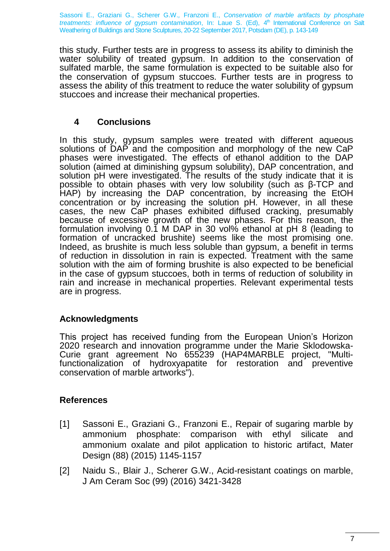this study. Further tests are in progress to assess its ability to diminish the water solubility of treated gypsum. In addition to the conservation of sulfated marble, the same formulation is expected to be suitable also for the conservation of gypsum stuccoes. Further tests are in progress to assess the ability of this treatment to reduce the water solubility of gypsum stuccoes and increase their mechanical properties.

# **4 Conclusions**

In this study, gypsum samples were treated with different aqueous solutions of DAP and the composition and morphology of the new CaP phases were investigated. The effects of ethanol addition to the DAP solution (aimed at diminishing gypsum solubility), DAP concentration, and solution pH were investigated. The results of the study indicate that it is possible to obtain phases with very low solubility (such as β-TCP and HAP) by increasing the DAP concentration, by increasing the EtOH concentration or by increasing the solution pH. However, in all these cases, the new CaP phases exhibited diffused cracking, presumably because of excessive growth of the new phases. For this reason, the formulation involving 0.1 M DAP in 30 vol% ethanol at pH 8 (leading to formation of uncracked brushite) seems like the most promising one. Indeed, as brushite is much less soluble than gypsum, a benefit in terms of reduction in dissolution in rain is expected. Treatment with the same solution with the aim of forming brushite is also expected to be beneficial in the case of gypsum stuccoes, both in terms of reduction of solubility in rain and increase in mechanical properties. Relevant experimental tests are in progress.

### **Acknowledgments**

This project has received funding from the European Union's Horizon 2020 research and innovation programme under the Marie Sklodowska-Curie grant agreement No 655239 (HAP4MARBLE project, "Multifunctionalization of hydroxyapatite for restoration and preventive conservation of marble artworks").

### **References**

- [1] Sassoni E., Graziani G., Franzoni E., Repair of sugaring marble by ammonium phosphate: comparison with ethyl silicate and ammonium oxalate and pilot application to historic artifact, Mater Design (88) (2015) 1145-1157
- [2] Naidu S., Blair J., Scherer G.W., Acid-resistant coatings on marble, J Am Ceram Soc (99) (2016) 3421-3428